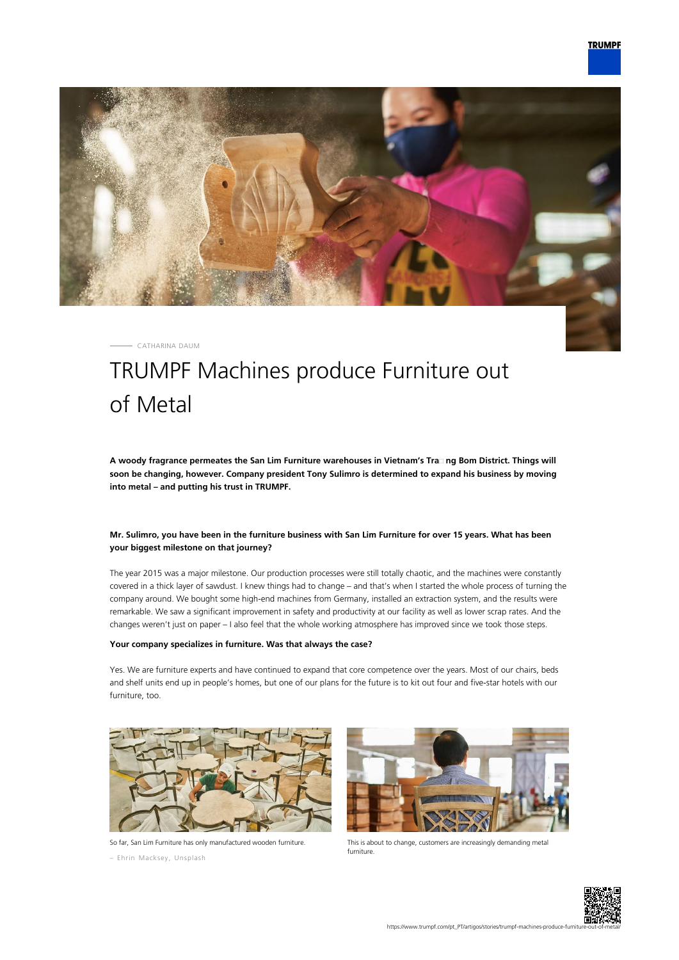

CATHARINA DAUM

# TRUMPF Machines produce Furniture out of Metal

**A woody fragrance permeates the San Lim Furniture warehouses in Vietnam's Tra᾿ ng Bom District. Things will soon be changing, however. Company president Tony Sulimro is determined to expand his business by moving into metal – and putting his trust in TRUMPF.**

## **Mr. Sulimro, you have been in the furniture business with San Lim Furniture for over 15 years. What has been your biggest milestone on that journey?**

The year 2015 was a major milestone. Our production processes were still totally chaotic, and the machines were constantly covered in a thick layer of sawdust. I knew things had to change – and that's when I started the whole process of turning the company around. We bought some high-end machines from Germany, installed an extraction system, and the results were remarkable. We saw a significant improvement in safety and productivity at our facility as well as lower scrap rates. And the changes weren't just on paper – I also feel that the whole working atmosphere has improved since we took those steps.

#### **Your company specializes in furniture. Was that always the case?**

Yes. We are furniture experts and have continued to expand that core competence over the years. Most of our chairs, beds and shelf units end up in people's homes, but one of our plans for the future is to kit out four and five-star hotels with our furniture, too.



So far, San Lim Furniture has only manufactured wooden furniture.

– Ehrin Macksey, Unsplash



This is about to change, customers are increasingly demanding metal furniture.

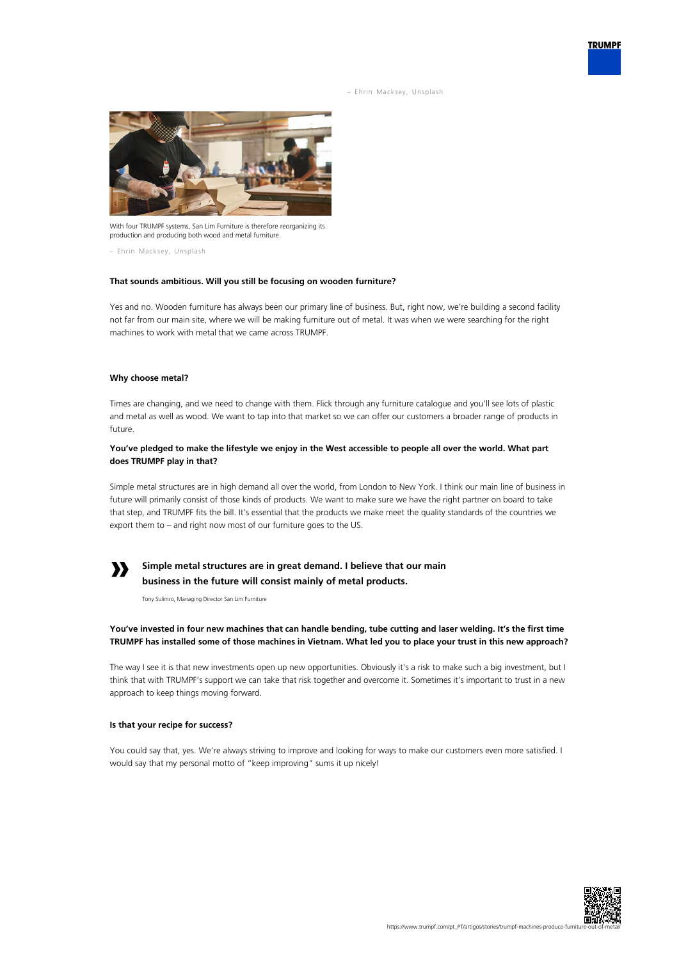– Ehrin Macksey, Unsplash



With four TRUMPF systems, San Lim Furniture is therefore reorganizing its production and producing both wood and metal furniture.

– Ehrin Macksey, Unsplash

#### **That sounds ambitious. Will you still be focusing on wooden furniture?**

Yes and no. Wooden furniture has always been our primary line of business. But, right now, we're building a second facility not far from our main site, where we will be making furniture out of metal. It was when we were searching for the right machines to work with metal that we came across TRUMPF.

#### **Why choose metal?**

Times are changing, and we need to change with them. Flick through any furniture catalogue and you'll see lots of plastic and metal as well as wood. We want to tap into that market so we can offer our customers a broader range of products in future.

#### **You've pledged to make the lifestyle we enjoy in the West accessible to people all over the world. What part does TRUMPF play in that?**

Simple metal structures are in high demand all over the world, from London to New York. I think our main line of business in future will primarily consist of those kinds of products. We want to make sure we have the right partner on board to take that step, and TRUMPF fits the bill. It's essential that the products we make meet the quality standards of the countries we export them to – and right now most of our furniture goes to the US.

# **»**

# **Simple metal structures are in great demand. I believe that our main business in the future will consist mainly of metal products.**

Tony Sulimro, Managing Director San Lim Furniture

## **You've invested in four new machines that can handle bending, tube cutting and laser welding. It's the first time TRUMPF has installed some of those machines in Vietnam. What led you to place your trust in this new approach?**

The way I see it is that new investments open up new opportunities. Obviously it's a risk to make such a big investment, but I think that with TRUMPF's support we can take that risk together and overcome it. Sometimes it's important to trust in a new approach to keep things moving forward.

#### **Is that your recipe for success?**

You could say that, yes. We're always striving to improve and looking for ways to make our customers even more satisfied. I would say that my personal motto of "keep improving" sums it up nicely!



**TRUMPF**